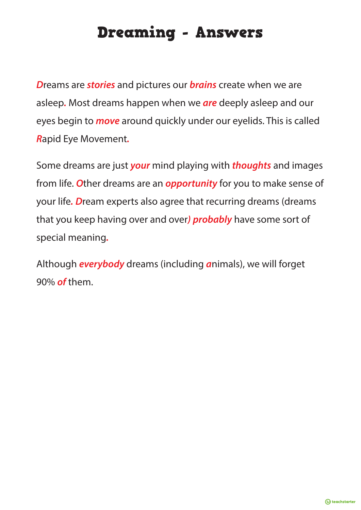# Dreaming - Answers

*D*reams are *stories* and pictures our *brains* create when we are asleep*.* Most dreams happen when we *are* deeply asleep and our eyes begin to *move* around quickly under our eyelids. This is called *R*apid Eye Movement*.*

Some dreams are just *your* mind playing with *thoughts* and images from life. *O*ther dreams are an *opportunity* for you to make sense of your life*. D*ream experts also agree that recurring dreams (dreams that you keep having over and over*) probably* have some sort of special meaning*.*

Although *everybody* dreams (including *a*nimals), we will forget 90% *of* them.

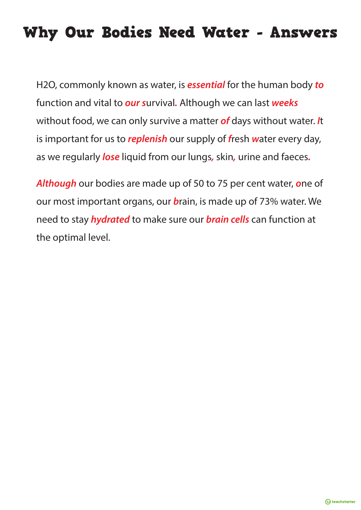# Why Our Bodies Need Water - Answers

H2O, commonly known as water, is *essential* for the human body *to* function and vital to *our s*urvival*.* Although we can last *weeks* without food, we can only survive a matter *of* days without water. *I*t is important for us to *replenish* our supply of *f*resh *w*ater every day, as we regularly *lose* liquid from our lungs*,* skin*,* urine and faeces*.*

*Although* our bodies are made up of 50 to 75 per cent water, *o*ne of our most important organs, our *b*rain, is made up of 73% water. We need to stay *hydrated* to make sure our *brain cells* can function at the optimal level.

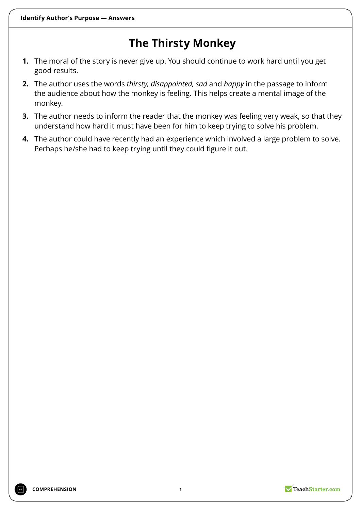## **The Thirsty Monkey**

- **1.** The moral of the story is never give up. You should continue to work hard until you get good results.
- **2.** The author uses the words *thirsty, disappointed, sad* and *happy* in the passage to inform the audience about how the monkey is feeling. This helps create a mental image of the monkey.
- **3.** The author needs to inform the reader that the monkey was feeling very weak, so that they understand how hard it must have been for him to keep trying to solve his problem.
- **4.** The author could have recently had an experience which involved a large problem to solve. Perhaps he/she had to keep trying until they could figure it out.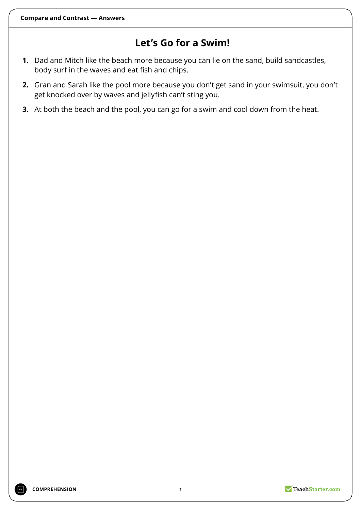### **Let's Go for a Swim!**

- **1.** Dad and Mitch like the beach more because you can lie on the sand, build sandcastles, body surf in the waves and eat fish and chips.
- **2.** Gran and Sarah like the pool more because you don't get sand in your swimsuit, you don't get knocked over by waves and jellyfish can't sting you.
- **3.** At both the beach and the pool, you can go for a swim and cool down from the heat.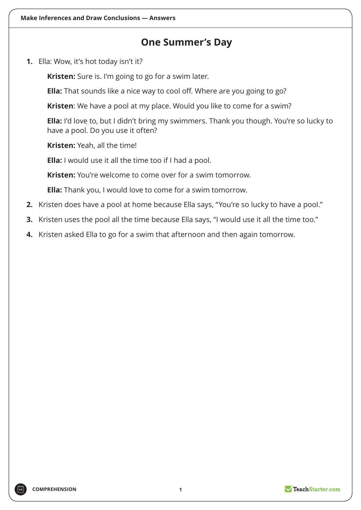### **One Summer's Day**

**1.** Ella: Wow, it's hot today isn't it?

**Kristen:** Sure is. I'm going to go for a swim later.

**Ella:** That sounds like a nice way to cool off. Where are you going to go?

**Kristen**: We have a pool at my place. Would you like to come for a swim?

**Ella:** I'd love to, but I didn't bring my swimmers. Thank you though. You're so lucky to have a pool. Do you use it often?

**Kristen:** Yeah, all the time!

**Ella:** I would use it all the time too if I had a pool.

**Kristen:** You're welcome to come over for a swim tomorrow.

**Ella:** Thank you, I would love to come for a swim tomorrow.

- **2.** Kristen does have a pool at home because Ella says, "You're so lucky to have a pool."
- **3.** Kristen uses the pool all the time because Ella says, "I would use it all the time too."
- **4.** Kristen asked Ella to go for a swim that afternoon and then again tomorrow.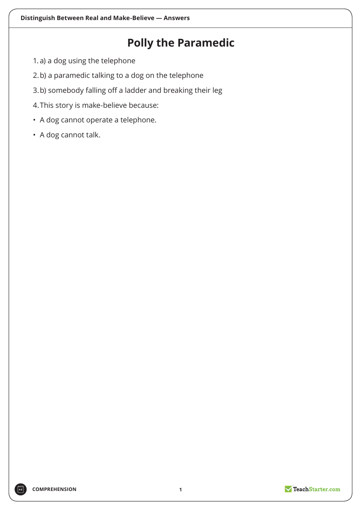## **Polly the Paramedic**

- 1. a) a dog using the telephone
- 2.b) a paramedic talking to a dog on the telephone
- 3.b) somebody falling off a ladder and breaking their leg
- 4.This story is make-believe because:
- A dog cannot operate a telephone.
- A dog cannot talk.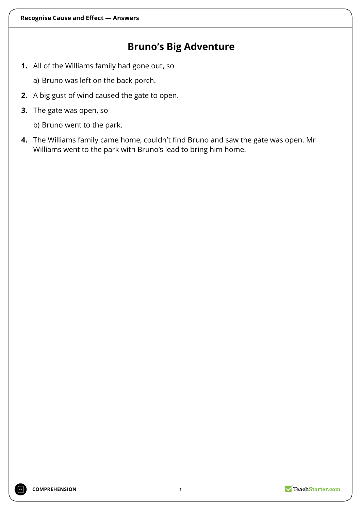### **Bruno's Big Adventure**

**1.** All of the Williams family had gone out, so

a) Bruno was left on the back porch.

- **2.** A big gust of wind caused the gate to open.
- **3.** The gate was open, so

b) Bruno went to the park.

**4.** The Williams family came home, couldn't find Bruno and saw the gate was open. Mr Williams went to the park with Bruno's lead to bring him home.

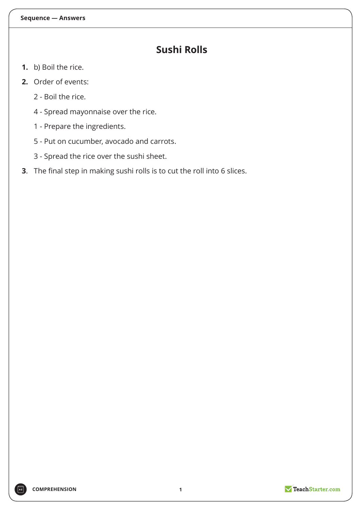### **Sushi Rolls**

- **1.** b) Boil the rice.
- **2.** Order of events:
	- 2 Boil the rice.
	- 4 Spread mayonnaise over the rice.
	- 1 Prepare the ingredients.
	- 5 Put on cucumber, avocado and carrots.
	- 3 Spread the rice over the sushi sheet.
- **3**. The final step in making sushi rolls is to cut the roll into 6 slices.

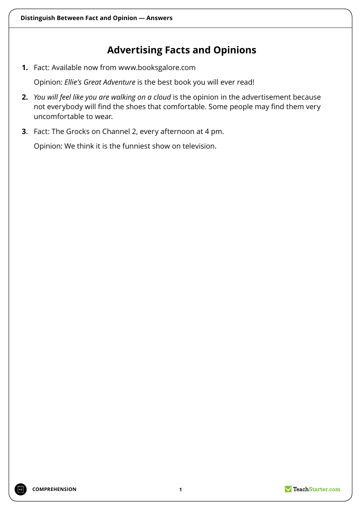### **Advertising Facts and Opinions**

**1.** Fact: Available now from www.booksgalore.com

Opinion: *Ellie's Great Adventure* is the best book you will ever read!

- **2.** *You will feel like you are walking on a cloud* is the opinion in the advertisement because not everybody will find the shoes that comfortable. Some people may find them very uncomfortable to wear.
- **3**. Fact: The Grocks on Channel 2, every afternoon at 4 pm.

Opinion: We think it is the funniest show on television.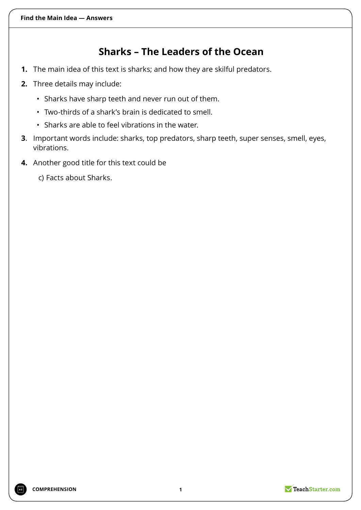## **Sharks – The Leaders of the Ocean**

- **1.** The main idea of this text is sharks; and how they are skilful predators.
- **2.** Three details may include:
	- Sharks have sharp teeth and never run out of them.
	- Two-thirds of a shark's brain is dedicated to smell.
	- Sharks are able to feel vibrations in the water.
- **3**. Important words include: sharks, top predators, sharp teeth, super senses, smell, eyes, vibrations.
- **4.** Another good title for this text could be

c) Facts about Sharks.

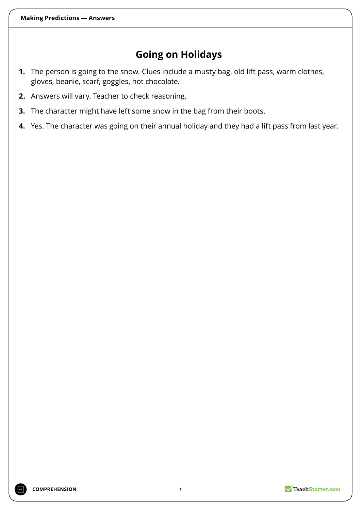## **Going on Holidays**

- **1.** The person is going to the snow. Clues include a musty bag, old lift pass, warm clothes, gloves, beanie, scarf, goggles, hot chocolate.
- **2.** Answers will vary. Teacher to check reasoning.
- **3.** The character might have left some snow in the bag from their boots.
- **4.** Yes. The character was going on their annual holiday and they had a lift pass from last year.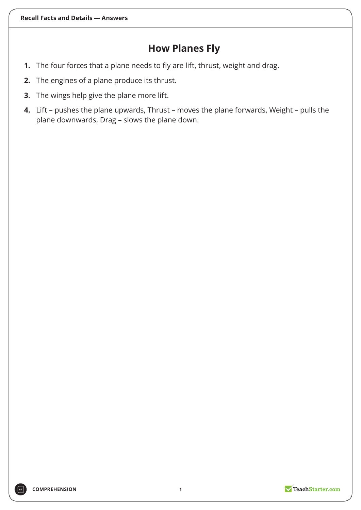### **How Planes Fly**

- **1.** The four forces that a plane needs to fly are lift, thrust, weight and drag.
- **2.** The engines of a plane produce its thrust.
- **3**. The wings help give the plane more lift.
- **4.** Lift pushes the plane upwards, Thrust moves the plane forwards, Weight pulls the plane downwards, Drag – slows the plane down.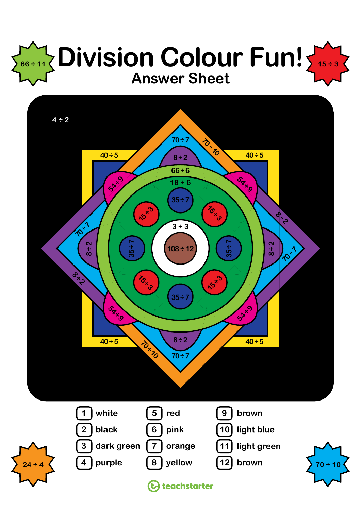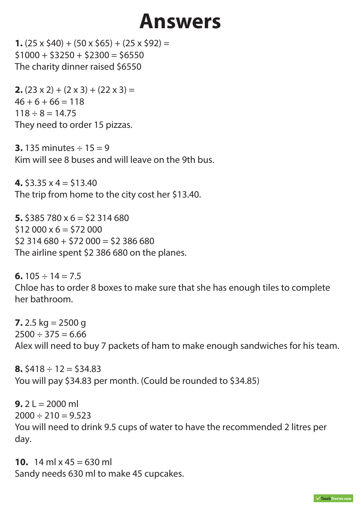# **Answers**

**1.** (25 x \$40) + (50 x \$65) + (25 x \$92) =  $$1000 + $3250 + $2300 = $6550$ The charity dinner raised \$6550

**2.**  $(23 \times 2) + (2 \times 3) + (22 \times 3) =$  $46 + 6 + 66 = 118$  $118 \div 8 = 14.75$ They need to order 15 pizzas.

**3.** 135 minutes  $\div$  15 = 9 Kim will see 8 buses and will leave on the 9th bus.

**4.**  $\text{\$3.35 x 4 = $13.40}$ The trip from home to the city cost her \$13.40.

**5.** \$385 780 x 6 = \$2 314 680  $$12,000 \times 6 = $72,000$  $$2$  314 680 + \$72 000 = \$2 386 680 The airline spent \$2 386 680 on the planes.

**6.**  $105 \div 14 = 7.5$ Chloe has to order 8 boxes to make sure that she has enough tiles to complete her bathroom.

**7.** 2.5 kg =  $2500$  g  $2500 \div 375 = 6.66$ Alex will need to buy 7 packets of ham to make enough sandwiches for his team.

**8.**  $\text{\$418} \div 12 = \text{\$34.83}$ You will pay \$34.83 per month. (Could be rounded to \$34.85)

**9.**  $2 L = 2000$  ml  $2000 \div 210 = 9.523$ You will need to drink 9.5 cups of water to have the recommended 2 litres per day.

**10.** 14 ml  $\times$  45 = 630 ml Sandy needs 630 ml to make 45 cupcakes.

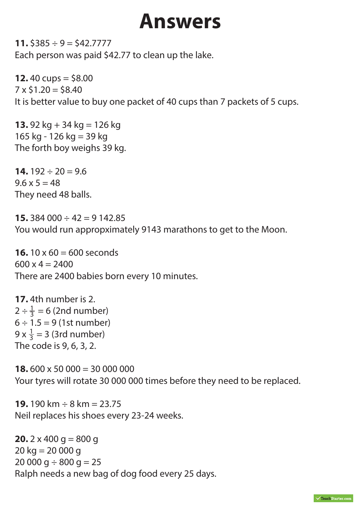# **Answers**

**11.**  $$385 \div 9 = $42.7777$ Each person was paid \$42.77 to clean up the lake.

**12.**  $40 \text{ cups} = $8.00$  $7 \times $1.20 = $8.40$ It is better value to buy one packet of 40 cups than 7 packets of 5 cups.

**13.** 92 kg + 34 kg = 126 kg 165 kg - 126 kg = 39 kg The forth boy weighs 39 kg.

**14.**  $192 \div 20 = 9.6$  $9.6 \times 5 = 48$ They need 48 balls.

**15.** 384 000 ÷ 42 = 9 142.85 You would run appropximately 9143 marathons to get to the Moon.

**16.** 10 x 60 = 600 seconds  $600 \times 4 = 2400$ There are 2400 babies born every 10 minutes.

**17.** 4th number is 2.  $2 \div \frac{1}{3} = 6$  (2nd number)  $6 \div 1.5 = 9$  (1st number)  $9 \times \frac{1}{3} = 3$  (3rd number) The code is 9, 6, 3, 2. 3 3

**18.** 600 x 50 000 = 30 000 000 Your tyres will rotate 30 000 000 times before they need to be replaced.

**19.** 190 km ÷ 8 km = 23.75 Neil replaces his shoes every 23-24 weeks.

**20.**  $2 \times 400$  g = 800 g  $20 \text{ kg} = 20000 \text{ g}$  $20000 g \div 800 g = 25$ Ralph needs a new bag of dog food every 25 days.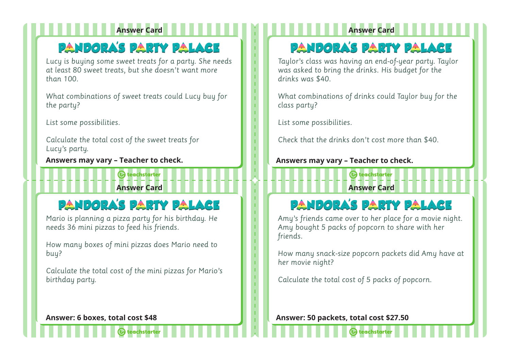## **PANDORA'S PARTY PALACE**

*Lucy is buying some sweet treats for a party. She needs at least 80 sweet treats, but she doesn't want more than 100.*

*What combinations of sweet treats could Lucy buy for the party?*

*List some possibilities.*

*Calculate the total cost of the sweet treats for Lucy's party.*

**Answers may vary – Teacher to check. Answers may vary – Teacher to check.**

## **Answer Card Answer Card**

## **PANDORA'S PARTY PALACE**

**A** teachstarter

*Mario is planning a pizza party for his birthday. He needs 36 mini pizzas to feed his friends.*

*How many boxes of mini pizzas does Mario need to buy?*

*Calculate the total cost of the mini pizzas for Mario's birthday party.*

## **Answer Card Answer Card**

## **PANDORA'S PARTY PALACE**

*Taylor's class was having an end-of-year party. Taylor was asked to bring the drinks. His budget for the drinks was \$40.*

*What combinations of drinks could Taylor buy for the class party?*

*List some possibilities.*

*Check that the drinks don't cost more than \$40.*

**A** teachstarter

## **PANDORA'S PARTY PALACE**

*Amy's friends came over to her place for a movie night. Amy bought 5 packs of popcorn to share with her friends.*

*How many snack-size popcorn packets did Amy have at her movie night?*

*Calculate the total cost of 5 packs of popcorn.*

**Answer: 6 boxes, total cost \$48 Answer: 50 packets, total cost \$27.50**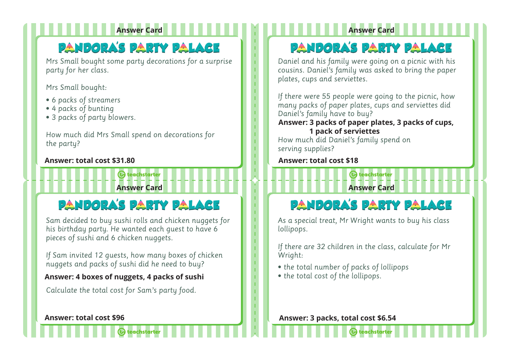## **PANDORA'S PARTY PALACE**

*Mrs Small bought some party decorations for a surprise party for her class.*

*Mrs Small bought:*

- *6 packs of streamers*
- *4 packs of bunting*
- *3 packs of party blowers.*

*How much did Mrs Small spend on decorations for the party?*

#### **Answer: total cost \$31.80 Answer: total cost \$18**

## **PANDORA'S PARTY PALACE**

**A** teachstarter

*Sam decided to buy sushi rolls and chicken nuggets for his birthday party. He wanted each guest to have 6 pieces of sushi and 6 chicken nuggets.* 

*If Sam invited 12 guests, how many boxes of chicken nuggets and packs of sushi did he need to buy?*

#### **Answer: 4 boxes of nuggets, 4 packs of sushi**

*Calculate the total cost for Sam's party food.*

### **Answer Card Answer Card**

## **PANDORA'S PARTY PALACE**

*Daniel and his family were going on a picnic with his cousins. Daniel's family was asked to bring the paper plates, cups and serviettes.* 

*If there were 55 people were going to the picnic, how many packs of paper plates, cups and serviettes did Daniel's family have to buy?*

#### **Answer: 3 packs of paper plates, 3 packs of cups, 1 pack of serviettes**

*How much did Daniel's family spend on serving supplies?*

**Answer Card Answer Card**

**A** teachstarter

## **PANDORA'S PARTY PALACE**

*As a special treat, Mr Wright wants to buy his class lollipops.* 

*If there are 32 children in the class, calculate for Mr Wright:*

- *the total number of packs of lollipops*
- *the total cost of the lollipops.*

**Answer: total cost \$96 Answer: 1 packs, total cost \$6.54**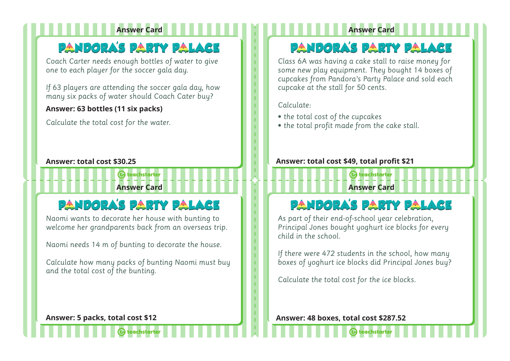### **Answer Card Answer Card**

## **PANDORA'S PARTY PALACE**

*Coach Carter needs enough bottles of water to give one to each player for the soccer gala day.* 

*If 63 players are attending the soccer gala day, how many six packs of water should Coach Cater buy?*

#### *`* **Answer: 63 bottles (11 six packs)**

*Calculate the total cost for the water.*

## **PANDORA'S PARTY PALACE**

**A** teachstarter

*Naomi wants to decorate her house with bunting to welcome her grandparents back from an overseas trip.* 

*Naomi needs 14 m of bunting to decorate the house.*

*Calculate how many packs of bunting Naomi must buy and the total cost of the bunting.*

## **PANDORA'S PARTY PALACE**

*Class 6A was having a cake stall to raise money for some new play equipment. They bought 14 boxes of cupcakes from Pandora's Party Palace and sold each cupcake at the stall for 50 cents.*

#### *Calculate:*

**Answer Card Answer Card**

- *the total cost of the cupcakes*
- *the total profit made from the cake stall.*

#### **Answer: total cost \$30.25 Answer: total cost \$49, total profit \$21**

## **PANDORA'S PARTY PALACE**

**A** teachstarter

*As part of their end-of-school year celebration, Principal Jones bought yoghurt ice blocks for every child in the school.*

*If there were 472 students in the school, how many boxes of yoghurt ice blocks did Principal Jones buy?*

*Calculate the total cost for the ice blocks.*

**Answer: 5 packs, total cost \$12 Answer: 48 boxes, total cost \$287.52**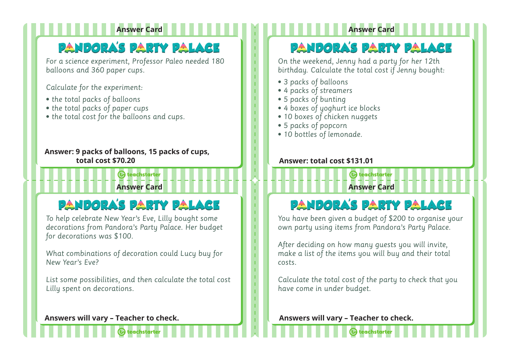## **Answer Card Answer Card**

## **PANDORA'S PARTY PALACE**

*For a science experiment, Professor Paleo needed 180 balloons and 360 paper cups.*

*Calculate for the experiment:*

- *the total packs of balloons*
- *the total packs of paper cups*
- *the total cost for the balloons and cups.*

#### **Answer: 9 packs of balloons, 15 packs of cups, total cost \$70.20 Answer: total cost \$131.01**

## **Answer Card Answer Card PANDORA'S PARTY PALACE**

**A** teachstarter

#### *To help celebrate New Year's Eve, Lilly bought some decorations from Pandora's Party Palace. Her budget for decorations was \$100.*

*What combinations of decoration could Lucy buy for New Year's Eve?*

*List some possibilities, and then calculate the total cost Lilly spent on decorations.*

## **PANDORA'S PARTY PALACE**

*On the weekend, Jenny had a party for her 12th birthday. Calculate the total cost if Jenny bought:*

- *3 packs of balloons*
- *4 packs of streamers*
- *5 packs of bunting*
- *4 boxes of yoghurt ice blocks*
- *10 boxes of chicken nuggets*
- *5 packs of popcorn*
- *10 bottles of lemonade.*

## **PANDORA'S PARTY PALACE**

**A** teachstarter

*You have been given a budget of \$200 to organise your own party using items from Pandora's Party Palace.*

*After deciding on how many guests you will invite, make a list of the items you will buy and their total costs.*

*Calculate the total cost of the party to check that you have come in under budget.* 

**Answers will vary – Teacher to check. Answers will vary – Teacher to check.**